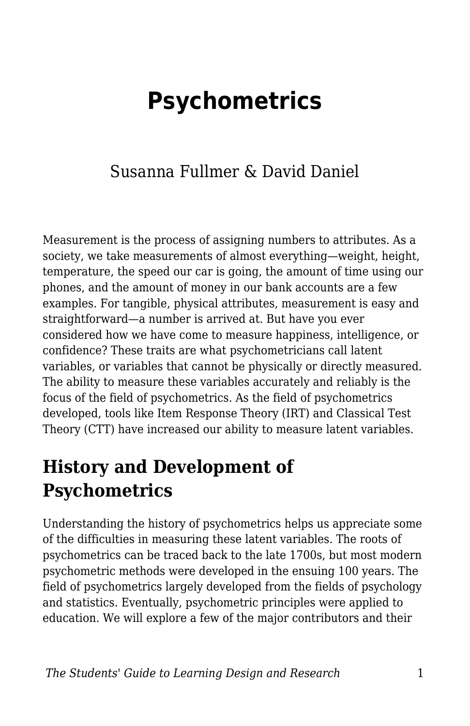# **Psychometrics**

### Susanna Fullmer & David Daniel

Measurement is the process of assigning numbers to attributes. As a society, we take measurements of almost everything—weight, height, temperature, the speed our car is going, the amount of time using our phones, and the amount of money in our bank accounts are a few examples. For tangible, physical attributes, measurement is easy and straightforward—a number is arrived at. But have you ever considered how we have come to measure happiness, intelligence, or confidence? These traits are what psychometricians call latent variables, or variables that cannot be physically or directly measured. The ability to measure these variables accurately and reliably is the focus of the field of psychometrics. As the field of psychometrics developed, tools like Item Response Theory (IRT) and Classical Test Theory (CTT) have increased our ability to measure latent variables.

### **History and Development of Psychometrics**

Understanding the history of psychometrics helps us appreciate some of the difficulties in measuring these latent variables. The roots of psychometrics can be traced back to the late 1700s, but most modern psychometric methods were developed in the ensuing 100 years. The field of psychometrics largely developed from the fields of psychology and statistics. Eventually, psychometric principles were applied to education. We will explore a few of the major contributors and their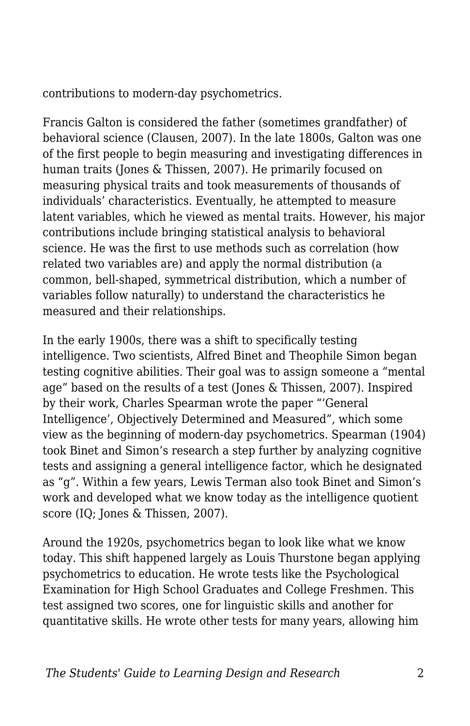contributions to modern-day psychometrics.

Francis Galton is considered the father (sometimes grandfather) of behavioral science (Clausen, 2007). In the late 1800s, Galton was one of the first people to begin measuring and investigating differences in human traits (Jones & Thissen, 2007). He primarily focused on measuring physical traits and took measurements of thousands of individuals' characteristics. Eventually, he attempted to measure latent variables, which he viewed as mental traits. However, his major contributions include bringing statistical analysis to behavioral science. He was the first to use methods such as correlation (how related two variables are) and apply the normal distribution (a common, bell-shaped, symmetrical distribution, which a number of variables follow naturally) to understand the characteristics he measured and their relationships.

In the early 1900s, there was a shift to specifically testing intelligence. Two scientists, Alfred Binet and Theophile Simon began testing cognitive abilities. Their goal was to assign someone a "mental age" based on the results of a test (Jones & Thissen, 2007). Inspired by their work, Charles Spearman wrote the paper "'General Intelligence', Objectively Determined and Measured", which some view as the beginning of modern-day psychometrics. Spearman (1904) took Binet and Simon's research a step further by analyzing cognitive tests and assigning a general intelligence factor, which he designated as "g". Within a few years, Lewis Terman also took Binet and Simon's work and developed what we know today as the intelligence quotient score (IQ; Jones & Thissen, 2007).

Around the 1920s, psychometrics began to look like what we know today. This shift happened largely as Louis Thurstone began applying psychometrics to education. He wrote tests like the Psychological Examination for High School Graduates and College Freshmen. This test assigned two scores, one for linguistic skills and another for quantitative skills. He wrote other tests for many years, allowing him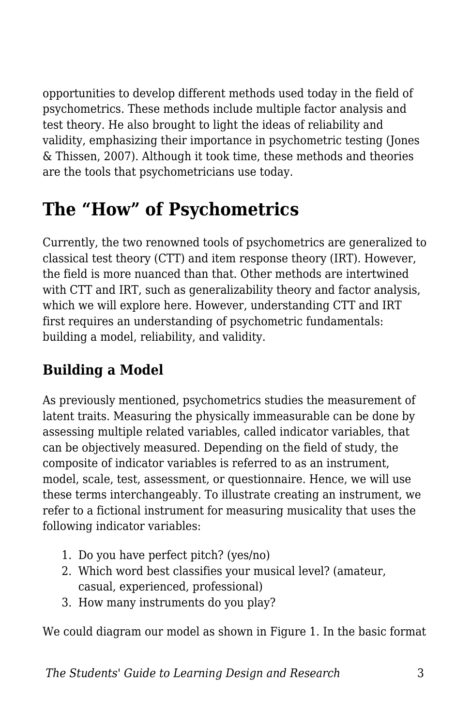opportunities to develop different methods used today in the field of psychometrics. These methods include multiple factor analysis and test theory. He also brought to light the ideas of reliability and validity, emphasizing their importance in psychometric testing (Jones & Thissen, 2007). Although it took time, these methods and theories are the tools that psychometricians use today.

# **The "How" of Psychometrics**

Currently, the two renowned tools of psychometrics are generalized to classical test theory (CTT) and item response theory (IRT). However, the field is more nuanced than that. Other methods are intertwined with CTT and IRT, such as generalizability theory and factor analysis, which we will explore here. However, understanding CTT and IRT first requires an understanding of psychometric fundamentals: building a model, reliability, and validity.

### **Building a Model**

As previously mentioned, psychometrics studies the measurement of latent traits. Measuring the physically immeasurable can be done by assessing multiple related variables, called indicator variables, that can be objectively measured. Depending on the field of study, the composite of indicator variables is referred to as an instrument, model, scale, test, assessment, or questionnaire. Hence, we will use these terms interchangeably. To illustrate creating an instrument, we refer to a fictional instrument for measuring musicality that uses the following indicator variables:

- 1. Do you have perfect pitch? (yes/no)
- 2. Which word best classifies your musical level? (amateur, casual, experienced, professional)
- 3. How many instruments do you play?

We could diagram our model as shown in Figure 1. In the basic format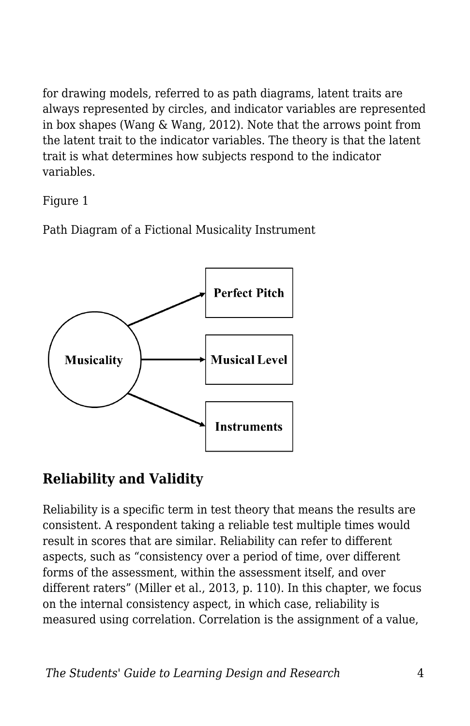for drawing models, referred to as path diagrams, latent traits are always represented by circles, and indicator variables are represented in box shapes (Wang & Wang, 2012). Note that the arrows point from the latent trait to the indicator variables. The theory is that the latent trait is what determines how subjects respond to the indicator variables.

Figure 1

Path Diagram of a Fictional Musicality Instrument



### **Reliability and Validity**

Reliability is a specific term in test theory that means the results are consistent. A respondent taking a reliable test multiple times would result in scores that are similar. Reliability can refer to different aspects, such as "consistency over a period of time, over different forms of the assessment, within the assessment itself, and over different raters" (Miller et al., 2013, p. 110). In this chapter, we focus on the internal consistency aspect, in which case, reliability is measured using correlation. Correlation is the assignment of a value,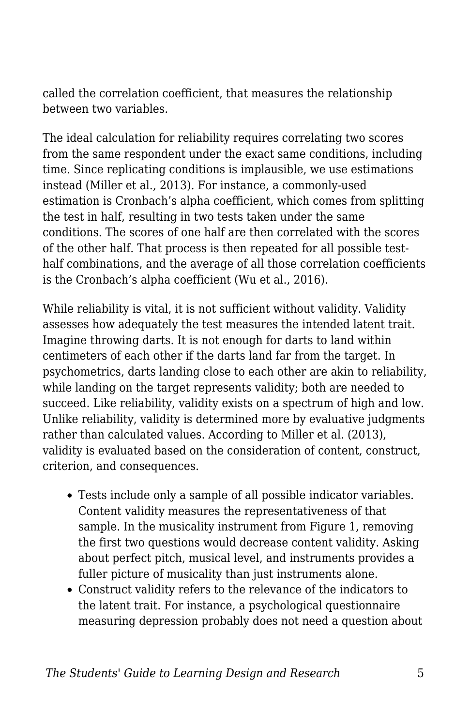called the correlation coefficient, that measures the relationship between two variables.

The ideal calculation for reliability requires correlating two scores from the same respondent under the exact same conditions, including time. Since replicating conditions is implausible, we use estimations instead (Miller et al., 2013). For instance, a commonly-used estimation is Cronbach's alpha coefficient, which comes from splitting the test in half, resulting in two tests taken under the same conditions. The scores of one half are then correlated with the scores of the other half. That process is then repeated for all possible testhalf combinations, and the average of all those correlation coefficients is the Cronbach's alpha coefficient (Wu et al., 2016).

While reliability is vital, it is not sufficient without validity. Validity assesses how adequately the test measures the intended latent trait. Imagine throwing darts. It is not enough for darts to land within centimeters of each other if the darts land far from the target. In psychometrics, darts landing close to each other are akin to reliability, while landing on the target represents validity; both are needed to succeed. Like reliability, validity exists on a spectrum of high and low. Unlike reliability, validity is determined more by evaluative judgments rather than calculated values. According to Miller et al. (2013), validity is evaluated based on the consideration of content, construct, criterion, and consequences.

- Tests include only a sample of all possible indicator variables. Content validity measures the representativeness of that sample. In the musicality instrument from Figure 1, removing the first two questions would decrease content validity. Asking about perfect pitch, musical level, and instruments provides a fuller picture of musicality than just instruments alone.
- Construct validity refers to the relevance of the indicators to the latent trait. For instance, a psychological questionnaire measuring depression probably does not need a question about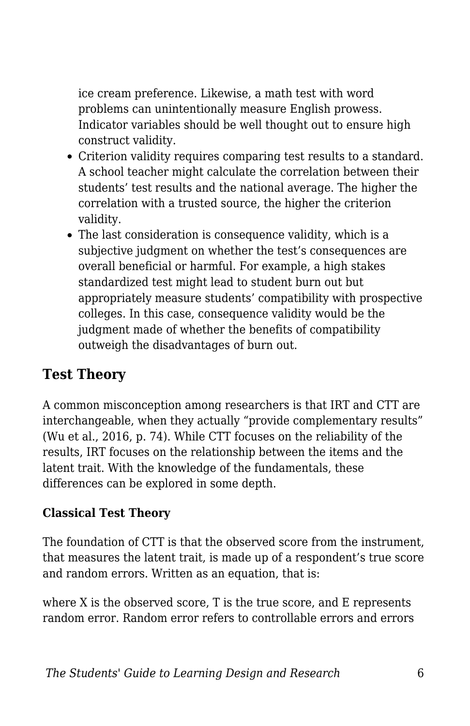ice cream preference. Likewise, a math test with word problems can unintentionally measure English prowess. Indicator variables should be well thought out to ensure high construct validity.

- Criterion validity requires comparing test results to a standard. A school teacher might calculate the correlation between their students' test results and the national average. The higher the correlation with a trusted source, the higher the criterion validity.
- The last consideration is consequence validity, which is a subjective judgment on whether the test's consequences are overall beneficial or harmful. For example, a high stakes standardized test might lead to student burn out but appropriately measure students' compatibility with prospective colleges. In this case, consequence validity would be the judgment made of whether the benefits of compatibility outweigh the disadvantages of burn out.

#### **Test Theory**

A common misconception among researchers is that IRT and CTT are interchangeable, when they actually "provide complementary results" (Wu et al., 2016, p. 74). While CTT focuses on the reliability of the results, IRT focuses on the relationship between the items and the latent trait. With the knowledge of the fundamentals, these differences can be explored in some depth.

#### **Classical Test Theory**

The foundation of CTT is that the observed score from the instrument, that measures the latent trait, is made up of a respondent's true score and random errors. Written as an equation, that is:

where X is the observed score, T is the true score, and E represents random error. Random error refers to controllable errors and errors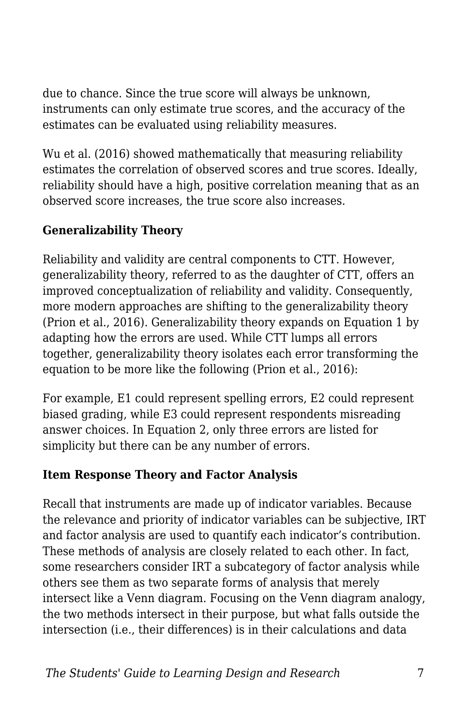due to chance. Since the true score will always be unknown, instruments can only estimate true scores, and the accuracy of the estimates can be evaluated using reliability measures.

Wu et al. (2016) showed mathematically that measuring reliability estimates the correlation of observed scores and true scores. Ideally, reliability should have a high, positive correlation meaning that as an observed score increases, the true score also increases.

#### **Generalizability Theory**

Reliability and validity are central components to CTT. However, generalizability theory, referred to as the daughter of CTT, offers an improved conceptualization of reliability and validity. Consequently, more modern approaches are shifting to the generalizability theory (Prion et al., 2016). Generalizability theory expands on Equation 1 by adapting how the errors are used. While CTT lumps all errors together, generalizability theory isolates each error transforming the equation to be more like the following (Prion et al., 2016):

For example, E1 could represent spelling errors, E2 could represent biased grading, while E3 could represent respondents misreading answer choices. In Equation 2, only three errors are listed for simplicity but there can be any number of errors.

#### **Item Response Theory and Factor Analysis**

Recall that instruments are made up of indicator variables. Because the relevance and priority of indicator variables can be subjective, IRT and factor analysis are used to quantify each indicator's contribution. These methods of analysis are closely related to each other. In fact, some researchers consider IRT a subcategory of factor analysis while others see them as two separate forms of analysis that merely intersect like a Venn diagram. Focusing on the Venn diagram analogy, the two methods intersect in their purpose, but what falls outside the intersection (i.e., their differences) is in their calculations and data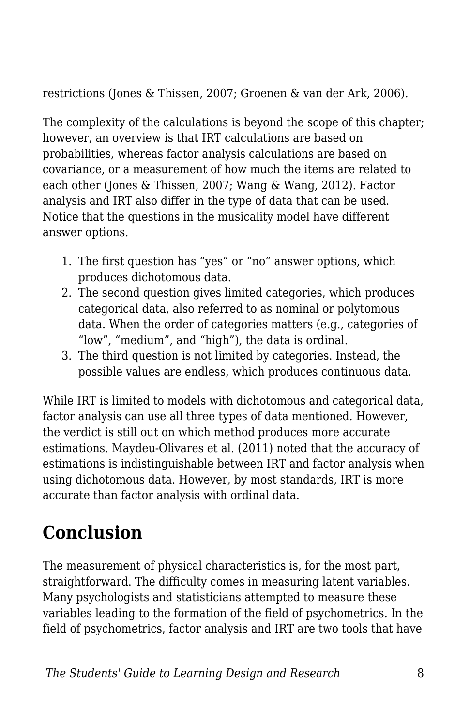restrictions (Jones & Thissen, 2007; Groenen & van der Ark, 2006).

The complexity of the calculations is beyond the scope of this chapter; however, an overview is that IRT calculations are based on probabilities, whereas factor analysis calculations are based on covariance, or a measurement of how much the items are related to each other (Jones & Thissen, 2007; Wang & Wang, 2012). Factor analysis and IRT also differ in the type of data that can be used. Notice that the questions in the musicality model have different answer options.

- 1. The first question has "yes" or "no" answer options, which produces dichotomous data.
- 2. The second question gives limited categories, which produces categorical data, also referred to as nominal or polytomous data. When the order of categories matters (e.g., categories of "low", "medium", and "high"), the data is ordinal.
- 3. The third question is not limited by categories. Instead, the possible values are endless, which produces continuous data.

While IRT is limited to models with dichotomous and categorical data, factor analysis can use all three types of data mentioned. However, the verdict is still out on which method produces more accurate estimations. Maydeu-Olivares et al. (2011) noted that the accuracy of estimations is indistinguishable between IRT and factor analysis when using dichotomous data. However, by most standards, IRT is more accurate than factor analysis with ordinal data.

# **Conclusion**

The measurement of physical characteristics is, for the most part, straightforward. The difficulty comes in measuring latent variables. Many psychologists and statisticians attempted to measure these variables leading to the formation of the field of psychometrics. In the field of psychometrics, factor analysis and IRT are two tools that have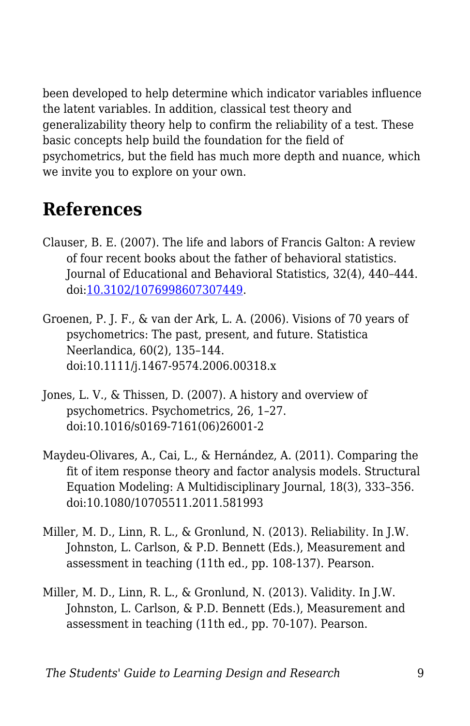been developed to help determine which indicator variables influence the latent variables. In addition, classical test theory and generalizability theory help to confirm the reliability of a test. These basic concepts help build the foundation for the field of psychometrics, but the field has much more depth and nuance, which we invite you to explore on your own.

## **References**

- Clauser, B. E. (2007). The life and labors of Francis Galton: A review of four recent books about the father of behavioral statistics. Journal of Educational and Behavioral Statistics, 32(4), 440–444. doi[:10.3102/1076998607307449.](https://doi.org/10.3102%2F1076998607307449)
- Groenen, P. J. F., & van der Ark, L. A. (2006). Visions of 70 years of psychometrics: The past, present, and future. Statistica Neerlandica, 60(2), 135–144. doi:10.1111/j.1467-9574.2006.00318.x
- Jones, L. V., & Thissen, D. (2007). A history and overview of psychometrics. Psychometrics, 26, 1–27. doi:10.1016/s0169-7161(06)26001-2
- Maydeu-Olivares, A., Cai, L., & Hernández, A. (2011). Comparing the fit of item response theory and factor analysis models. Structural Equation Modeling: A Multidisciplinary Journal, 18(3), 333–356. doi:10.1080/10705511.2011.581993
- Miller, M. D., Linn, R. L., & Gronlund, N. (2013). Reliability. In J.W. Johnston, L. Carlson, & P.D. Bennett (Eds.), Measurement and assessment in teaching (11th ed., pp. 108-137). Pearson.
- Miller, M. D., Linn, R. L., & Gronlund, N. (2013). Validity. In J.W. Johnston, L. Carlson, & P.D. Bennett (Eds.), Measurement and assessment in teaching (11th ed., pp. 70-107). Pearson.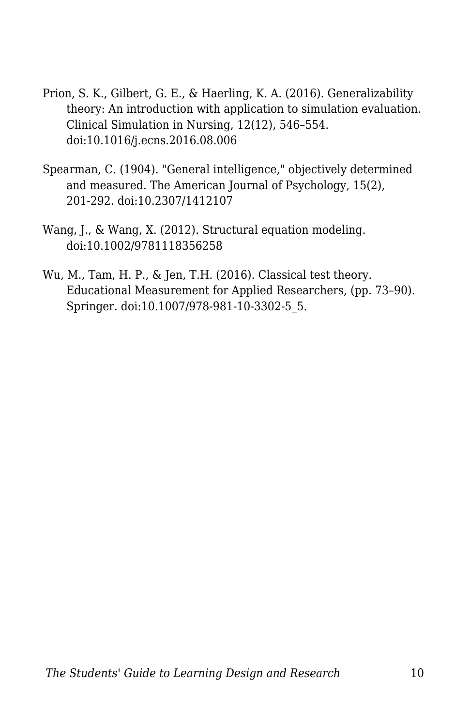- Prion, S. K., Gilbert, G. E., & Haerling, K. A. (2016). Generalizability theory: An introduction with application to simulation evaluation. Clinical Simulation in Nursing, 12(12), 546–554. doi:10.1016/j.ecns.2016.08.006
- Spearman, C. (1904). "General intelligence," objectively determined and measured. The American Journal of Psychology, 15(2), 201-292. doi:10.2307/1412107
- Wang, J., & Wang, X. (2012). Structural equation modeling. doi:10.1002/9781118356258
- Wu, M., Tam, H. P., & Jen, T.H. (2016). Classical test theory. Educational Measurement for Applied Researchers, (pp. 73–90). Springer. doi:10.1007/978-981-10-3302-5\_5.